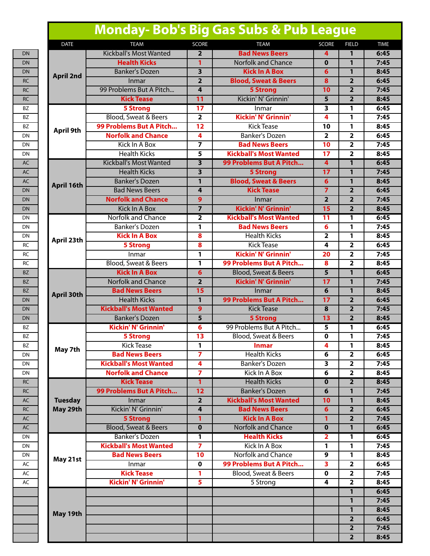# **Monday- Bob's Big Gas Subs & Pub League**

| <b>DATE</b>       | <b>TEAM</b>                     | <b>SCORE</b>            | <b>TEAM</b>                     | <b>SCORE</b>            | <b>FIELD</b>            | <b>TIME</b> |
|-------------------|---------------------------------|-------------------------|---------------------------------|-------------------------|-------------------------|-------------|
|                   | <b>Kickball's Most Wanted</b>   | $\mathbf{2}$            | <b>Bad News Beers</b>           | 4                       | 1                       | 6:45        |
|                   | <b>Health Kicks</b>             | 1                       | <b>Norfolk and Chance</b>       | $\bf{0}$                | 1                       | 7:45        |
| <b>April 2nd</b>  | <b>Banker's Dozen</b>           | $\overline{\mathbf{3}}$ | <b>Kick In A Box</b>            | 6                       | 1                       | 8:45        |
|                   | <b>Inmar</b>                    | $\overline{2}$          | <b>Blood, Sweat &amp; Beers</b> | $\overline{\mathbf{8}}$ | $\overline{2}$          | 6:45        |
|                   | 99 Problems But A Pitch         | 4                       | <b>5 Strong</b>                 | 10                      | $\overline{2}$          | 7:45        |
|                   | <b>Kick Tease</b>               | 11                      | Kickin' N' Grinnin'             | 5                       | $\overline{2}$          | 8:45        |
|                   | <b>5 Strong</b>                 | 17                      | Inmar                           | $\overline{\mathbf{3}}$ | 1                       | 6:45        |
|                   | Blood, Sweat & Beers            | $\overline{\mathbf{2}}$ | <b>Kickin' N' Grinnin'</b>      | 4                       | 1                       | 7:45        |
| <b>April 9th</b>  | 99 Problems But A Pitch         | $\overline{12}$         | <b>Kick Tease</b>               | 10                      | 1                       | 8:45        |
|                   | <b>Norfolk and Chance</b>       | 4                       | <b>Banker's Dozen</b>           | $\overline{\mathbf{2}}$ | $\overline{\mathbf{2}}$ | 6:45        |
|                   | Kick In A Box                   | $\overline{z}$          | <b>Bad News Beers</b>           | 10                      | $\overline{\mathbf{2}}$ | 7:45        |
|                   | <b>Health Kicks</b>             | 5                       | <b>Kickball's Most Wanted</b>   | $\overline{17}$         | $\overline{2}$          | 8:45        |
|                   | <b>Kickball's Most Wanted</b>   | $\overline{\mathbf{3}}$ | 99 Problems But A Pitch         | 4                       | $\mathbf{1}$            | 6:45        |
|                   | <b>Health Kicks</b>             | 3                       | <b>5 Strong</b>                 | 17                      | 1                       | 7:45        |
| April 16th        | <b>Banker's Dozen</b>           | 1                       | <b>Blood, Sweat &amp; Beers</b> | 6                       | 1                       | 8:45        |
|                   | <b>Bad News Beers</b>           | 4                       | <b>Kick Tease</b>               | $\overline{7}$          | $\overline{2}$          | 6:45        |
|                   | <b>Norfolk and Chance</b>       | 9                       | Inmar                           | $\overline{2}$          | $\overline{2}$          | 7:45        |
|                   | <b>Kick In A Box</b>            | $\overline{7}$          | <b>Kickin' N' Grinnin'</b>      | $\overline{15}$         | $\overline{2}$          | 8:45        |
|                   | Norfolk and Chance              | $\overline{\mathbf{2}}$ | <b>Kickball's Most Wanted</b>   | 11                      | 1                       | 6:45        |
|                   | Banker's Dozen                  | 1                       | <b>Bad News Beers</b>           | 6                       | 1                       | 7:45        |
| April 23th        | <b>Kick In A Box</b>            | 8                       | <b>Health Kicks</b>             | $\overline{2}$          | 1                       | 8:45        |
|                   | <b>5 Strong</b>                 | $\overline{\mathbf{8}}$ | <b>Kick Tease</b>               | 4                       | $\overline{2}$          | 6:45        |
|                   | Inmar                           | 1                       | <b>Kickin' N' Grinnin'</b>      | 20                      | $\overline{2}$          | 7:45        |
|                   | <b>Blood, Sweat &amp; Beers</b> | 1                       | 99 Problems But A Pitch         | 8                       | $\overline{2}$          | 8:45        |
|                   | <b>Kick In A Box</b>            | 6                       | <b>Blood, Sweat &amp; Beers</b> | 5                       | $\mathbf{1}$            | 6:45        |
|                   | <b>Norfolk and Chance</b>       | $\overline{\mathbf{2}}$ | <b>Kickin' N' Grinnin'</b>      | 17                      | 1                       | 7:45        |
| <b>April 30th</b> | <b>Bad News Beers</b>           | 15                      | Inmar                           | 6                       | 1                       | 8:45        |
|                   | <b>Health Kicks</b>             | $\mathbf{1}$            | 99 Problems But A Pitch         | 17                      | $\overline{2}$          | 6:45        |
|                   | <b>Kickball's Most Wanted</b>   | 9                       | <b>Kick Tease</b>               | 8                       | $\overline{2}$          | 7:45        |
|                   | <b>Banker's Dozen</b>           | $\overline{5}$          | <b>5 Strong</b>                 | $\overline{13}$         | $\overline{2}$          | 8:45        |
|                   | <b>Kickin' N' Grinnin'</b>      | 6                       | 99 Problems But A Pitch         | 5                       | 1                       | 6:45        |
|                   | <b>5 Strong</b>                 | 13                      | Blood, Sweat & Beers            | 0                       | 1                       | 7:45        |
| May 7th           | <b>Kick Tease</b>               | 1                       | <b>Inmar</b>                    | 4                       | 1                       | 8:45        |
|                   | <b>Bad News Beers</b>           | $\overline{ }$          | <b>Health Kicks</b>             | 6                       | $\overline{\mathbf{2}}$ | 6:45        |
|                   | <b>Kickball's Most Wanted</b>   | 4                       | Banker's Dozen                  | $\overline{\mathbf{3}}$ | $\overline{2}$          | 7:45        |
|                   | <b>Norfolk and Chance</b>       | $\overline{7}$          | <b>Kick In A Box</b>            | 6                       | $\overline{2}$          | 8:45        |
|                   | <b>Kick Tease</b>               | 1                       | <b>Health Kicks</b>             | $\mathbf{0}$            | $\overline{2}$          | 8:45        |
|                   | 99 Problems But A Pitch         | 12                      | <b>Banker's Dozen</b>           | 6                       | $\mathbf{1}$            | 7:45        |
| <b>Tuesday</b>    | Inmar                           | $\overline{2}$          | <b>Kickball's Most Wanted</b>   | 10                      | $\mathbf{1}$            | 8:45        |
| May 29th          | Kickin' N' Grinnin'             | $\overline{\mathbf{4}}$ | <b>Bad News Beers</b>           | $6\overline{6}$         | $\overline{2}$          | 6:45        |
|                   | <b>5 Strong</b>                 | 1                       | <b>Kick In A Box</b>            | 1                       | $\overline{2}$          | 7:45        |
|                   | <b>Blood, Sweat &amp; Beers</b> | $\mathbf 0$             | <b>Norfolk and Chance</b>       | $\bf{0}$                | 1                       | 6:45        |
|                   | <b>Banker's Dozen</b>           | 1                       | <b>Health Kicks</b>             | $\overline{2}$          | 1                       | 6:45        |
|                   | <b>Kickball's Most Wanted</b>   | $\overline{7}$          | Kick In A Box                   | 1                       | 1                       | 7:45        |
| May 21st          | <b>Bad News Beers</b>           | 10                      | <b>Norfolk and Chance</b>       | 9                       | 1                       | 8:45        |
|                   | Inmar                           | $\mathbf 0$             | 99 Problems But A Pitch         | $\overline{\mathbf{3}}$ | $\overline{\mathbf{2}}$ | 6:45        |
|                   | <b>Kick Tease</b>               | 1                       | Blood, Sweat & Beers            | $\mathbf 0$             | $\overline{\mathbf{2}}$ | 7:45        |
|                   | <b>Kickin' N' Grinnin'</b>      | $\overline{5}$          | 5 Strong                        | 4                       | $\overline{\mathbf{2}}$ | 8:45        |
|                   |                                 |                         |                                 |                         | $\mathbf{1}$            | 6:45        |
|                   |                                 |                         |                                 |                         | $\mathbf{1}$            | 7:45        |
| May 19th          |                                 |                         |                                 |                         | $\mathbf{1}$            | 8:45        |
|                   |                                 |                         |                                 |                         | $\overline{2}$          | 6:45        |
|                   |                                 |                         |                                 |                         | $\overline{2}$          | 7:45        |
|                   |                                 |                         |                                 |                         | $\overline{2}$          | 8:45        |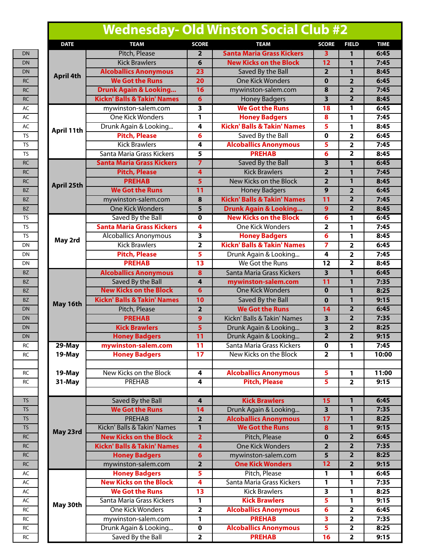# **Wednesday- Old Winston Social Club #2**

| <b>DATE</b>       | <b>TEAM</b>                                 | <b>SCORE</b>                 | <b>TEAM</b>                                   | <b>SCORE</b>                           | <b>FIELD</b>            | <b>TIME</b>  |
|-------------------|---------------------------------------------|------------------------------|-----------------------------------------------|----------------------------------------|-------------------------|--------------|
|                   | Pitch, Please                               | 2                            | <b>Santa Maria Grass Kickers</b>              | 3                                      | $\mathbf{1}$            | 6:45         |
|                   | <b>Kick Brawlers</b>                        | 6                            | <b>New Kicks on the Block</b>                 | 12                                     | $\mathbf{1}$            | 7:45         |
|                   | <b>Alcoballics Anonymous</b>                | 23                           | Saved By the Ball                             | $\overline{2}$                         | $\mathbf{1}$            | 8:45         |
| <b>April 4th</b>  | <b>We Got the Runs</b>                      | 20                           | <b>One Kick Wonders</b>                       | $\mathbf 0$                            | $\overline{\mathbf{2}}$ | 6:45         |
|                   | <b>Drunk Again &amp; Looking</b>            | 16                           | mywinston-salem.com                           | 8                                      | $\overline{\mathbf{2}}$ | 7:45         |
|                   | <b>Kickn' Balls &amp; Takin' Names</b>      | 6                            | <b>Honey Badgers</b>                          | $\overline{\mathbf{3}}$                | $\overline{2}$          | 8:45         |
|                   | mywinston-salem.com                         | 3                            | <b>We Got the Runs</b>                        | 18                                     | 1                       | 6:45         |
|                   | <b>One Kick Wonders</b>                     | 1                            | <b>Honey Badgers</b>                          | 8                                      | 1                       | 7:45         |
| April 11th        | Drunk Again & Looking                       | $\overline{4}$               | <b>Kickn' Balls &amp; Takin' Names</b>        | 5                                      | 1                       | 8:45         |
|                   | <b>Pitch, Please</b>                        | 6                            | Saved By the Ball                             | $\mathbf 0$                            | $\overline{2}$          | 6:45         |
|                   | <b>Kick Brawlers</b>                        | 4                            | <b>Alcoballics Anonymous</b>                  | 5                                      | $\overline{\mathbf{2}}$ | 7:45         |
|                   | Santa Maria Grass Kickers                   | 5                            | <b>PREHAB</b>                                 | 6                                      | $\overline{2}$          | 8:45         |
|                   | <b>Santa Maria Grass Kickers</b>            | $\overline{7}$               | Saved By the Ball                             | 3                                      | 1                       | 6:45         |
|                   | <b>Pitch, Please</b>                        | $\overline{4}$               | <b>Kick Brawlers</b>                          | $\overline{2}$                         | $\mathbf{1}$            | 7:45         |
|                   | <b>PREHAB</b>                               | $\overline{\mathbf{5}}$      | New Kicks on the Block                        | $\overline{2}$                         | $\mathbf{1}$            | 8:45         |
| <b>April 25th</b> | <b>We Got the Runs</b>                      | 11                           | <b>Honey Badgers</b>                          | $\overline{9}$                         | $\overline{2}$          | 6:45         |
|                   | mywinston-salem.com                         | 8                            | <b>Kickn' Balls &amp; Takin' Names</b>        | 11                                     | $\overline{2}$          | 7:45         |
|                   | <b>One Kick Wonders</b>                     | 5                            | <b>Drunk Again &amp; Looking</b>              | 9                                      | $\overline{2}$          | 8:45         |
|                   | Saved By the Ball                           | $\mathbf 0$                  | <b>New Kicks on the Block</b>                 | 6                                      | 1                       | 6:45         |
|                   | <b>Santa Maria Grass Kickers</b>            | 4                            | One Kick Wonders                              | 2                                      | 1                       | 7:45         |
| May 2rd           | <b>Alcoballics Anonymous</b>                | 3                            | <b>Honey Badgers</b>                          | 6                                      | 1                       | 8:45         |
|                   | <b>Kick Brawlers</b>                        | $\overline{2}$               | <b>Kickn' Balls &amp; Takin' Names</b>        | $\overline{7}$                         | $\overline{\mathbf{2}}$ | 6:45         |
|                   | <b>Pitch, Please</b>                        | 5                            | Drunk Again & Looking                         | 4                                      | $\overline{\mathbf{2}}$ | 7:45         |
|                   | <b>PREHAB</b>                               | 13                           | We Got the Runs                               | 12                                     | $\overline{2}$          | 8:45         |
|                   | <b>Alcoballics Anonymous</b>                | 8                            | Santa Maria Grass Kickers                     | 3                                      | 1                       | 6:45         |
| May 16th          | Saved By the Ball                           | $\overline{\mathbf{r}}$      | mywinston-salem.com                           | 11                                     | $\mathbf{1}$            | 7:35         |
|                   | <b>New Kicks on the Block</b>               | $6\overline{6}$              | <b>One Kick Wonders</b>                       | $\overline{\mathbf{0}}$                | $\mathbf{1}$            | 8:25         |
|                   | <b>Kickn' Balls &amp; Takin' Names</b>      | 10                           | Saved By the Ball                             | $\mathbf 0$                            | $\overline{1}$          | 9:15         |
|                   | Pitch, Please                               | $\overline{\mathbf{2}}$      | <b>We Got the Runs</b>                        | 14                                     | $\overline{\mathbf{2}}$ | 6:45         |
|                   | <b>PREHAB</b>                               | $\overline{9}$               | Kickn' Balls & Takin' Names                   | $\overline{\mathbf{3}}$                | $\overline{2}$          | 7:35         |
|                   | <b>Kick Brawlers</b>                        | 5                            | Drunk Again & Looking                         | 3                                      | $\overline{2}$          | 8:25         |
|                   | <b>Honey Badgers</b>                        | 11                           | Drunk Again & Looking                         | $\overline{2}$                         | $\overline{2}$          | 9:15         |
| 29-May            | mywinston-salem.com                         | 11                           | Santa Maria Grass Kickers                     | $\mathbf 0$                            | 1                       | 7:45         |
| 19-May            | <b>Honey Badgers</b>                        | 17                           | New Kicks on the Block                        | $\overline{2}$                         | 1                       | 10:00        |
|                   |                                             |                              |                                               |                                        |                         |              |
| 19-May            | New Kicks on the Block                      | 4                            | <b>Alcoballics Anonymous</b>                  | 5                                      | $\mathbf{1}$            | 11:00        |
| 31-May            | <b>PREHAB</b>                               | 4                            | <b>Pitch, Please</b>                          | 5                                      | $\overline{\mathbf{2}}$ | 9:15         |
|                   |                                             |                              |                                               |                                        | $\mathbf{1}$            | 6:45         |
|                   | Saved By the Ball<br><b>We Got the Runs</b> | 4                            | <b>Kick Brawlers</b><br>Drunk Again & Looking | 15                                     | $\overline{1}$          | 7:35         |
|                   | <b>PREHAB</b>                               | 14                           | <b>Alcoballics Anonymous</b>                  | $\overline{\mathbf{3}}$                | $\mathbf{1}$            | 8:25         |
|                   | Kickn' Balls & Takin' Names                 | $\overline{2}$<br>1          | <b>We Got the Runs</b>                        | 17                                     | $\mathbf{1}$            | 9:15         |
| May 23rd          | <b>New Kicks on the Block</b>               |                              |                                               | 8                                      | $\overline{\mathbf{2}}$ |              |
|                   | <b>Kickn' Balls &amp; Takin' Names</b>      | $\overline{\mathbf{2}}$<br>4 | Pitch, Please<br><b>One Kick Wonders</b>      | $\mathbf 0$<br>$\overline{\mathbf{2}}$ | $\overline{2}$          | 6:45<br>7:35 |
|                   | <b>Honey Badgers</b>                        | $6\overline{6}$              | mywinston-salem.com                           | 5                                      | $\overline{2}$          | 8:25         |
|                   | mywinston-salem.com                         | $\overline{2}$               | <b>One Kick Wonders</b>                       | 12                                     | $\overline{2}$          | 9:15         |
|                   | <b>Honey Badgers</b>                        | 5                            | Pitch, Please                                 | $\mathbf{1}$                           | $\overline{1}$          | 6:45         |
|                   | <b>New Kicks on the Block</b>               | 4                            | Santa Maria Grass Kickers                     | 1                                      | 1                       | 7:35         |
|                   | <b>We Got the Runs</b>                      | 13                           | <b>Kick Brawlers</b>                          | 3                                      | 1                       | 8:25         |
|                   | Santa Maria Grass Kickers                   | 1                            | <b>Kick Brawlers</b>                          | 5.                                     | 1                       | 9:15         |
| May 30th          | <b>One Kick Wonders</b>                     | $\overline{\mathbf{2}}$      | <b>Alcoballics Anonymous</b>                  | 6                                      | $\overline{\mathbf{2}}$ | 6:45         |
|                   | mywinston-salem.com                         | 1                            | <b>PREHAB</b>                                 | $\overline{\mathbf{3}}$                | $\overline{2}$          | 7:35         |
|                   | Drunk Again & Looking                       | $\mathbf 0$                  | <b>Alcoballics Anonymous</b>                  | 5                                      | $\overline{\mathbf{2}}$ | 8:25         |
|                   | Saved By the Ball                           | 2                            | <b>PREHAB</b>                                 | 16                                     | 2                       | 9:15         |
|                   |                                             |                              |                                               |                                        |                         |              |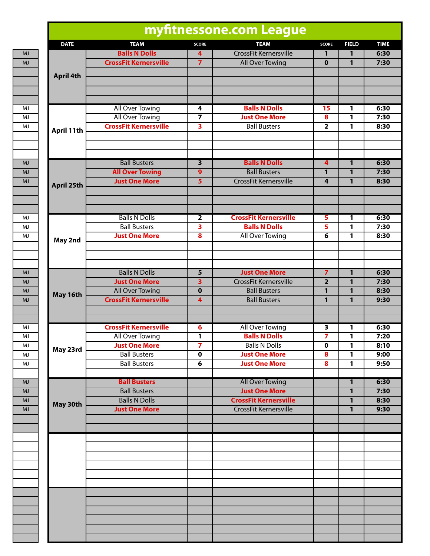| <b>DATE</b>      | <b>TEAM</b>                                  | <b>SCORE</b>                 | <b>TEAM</b>                                          | <b>SCORE</b>            | <b>FIELD</b>      | <b>TIME</b>  |
|------------------|----------------------------------------------|------------------------------|------------------------------------------------------|-------------------------|-------------------|--------------|
|                  | <b>Balls N Dolls</b>                         | 4                            | CrossFit Kernersville                                | 1                       | 1                 | 6:30         |
|                  | <b>CrossFit Kernersville</b>                 | $\overline{7}$               | All Over Towing                                      | $\mathbf 0$             | 1                 | 7:30         |
| <b>April 4th</b> |                                              |                              |                                                      |                         |                   |              |
|                  |                                              |                              |                                                      |                         |                   |              |
|                  |                                              |                              |                                                      |                         |                   |              |
|                  | All Over Towing                              | 4                            | <b>Balls N Dolls</b>                                 | 15                      | 1                 | 6:30         |
|                  | <b>All Over Towing</b>                       | 7                            | <b>Just One More</b>                                 | 8                       | 1                 | 7:30         |
| April 11th       | <b>CrossFit Kernersville</b>                 | $\overline{\mathbf{3}}$      | <b>Ball Busters</b>                                  | $\overline{\mathbf{2}}$ | 1                 | 8:30         |
|                  |                                              |                              |                                                      |                         |                   |              |
|                  | <b>Ball Busters</b>                          | $\overline{\mathbf{3}}$      | <b>Balls N Dolls</b>                                 | 4                       | 1                 | 6:30         |
|                  | <b>All Over Towing</b>                       | 9                            | <b>Ball Busters</b>                                  | 1                       | 1                 | 7:30         |
| April 25th       | <b>Just One More</b>                         | $\overline{\mathbf{5}}$      | CrossFit Kernersville                                | 4                       | $\mathbf{1}$      | 8:30         |
|                  |                                              |                              |                                                      |                         |                   |              |
|                  | <b>Balls N Dolls</b>                         |                              | <b>CrossFit Kernersville</b>                         |                         |                   | 6:30         |
|                  | <b>Ball Busters</b>                          | $\overline{\mathbf{2}}$      | <b>Balls N Dolls</b>                                 | 5<br>5                  | 1<br>1            | 7:30         |
|                  | <b>Just One More</b>                         | 3<br>$\overline{\mathbf{8}}$ | <b>All Over Towing</b>                               | 6                       | 1                 | 8:30         |
| May 2nd          |                                              |                              |                                                      |                         |                   |              |
|                  |                                              |                              |                                                      |                         |                   |              |
|                  | <b>Balls N Dolls</b>                         | $\overline{5}$               | <b>Just One More</b>                                 | $\overline{7}$          | 1                 | 6:30         |
|                  | <b>Just One More</b>                         | 3                            | <b>CrossFit Kernersville</b>                         | $\overline{2}$          | 1                 | 7:30         |
|                  | <b>All Over Towing</b>                       | $\overline{\mathbf{0}}$      | <b>Ball Busters</b>                                  | 1                       | 1                 | 8:30         |
| May 16th         | <b>CrossFit Kernersville</b>                 | $\overline{\mathbf{4}}$      | <b>Ball Busters</b>                                  | $\mathbf{1}$            | 1                 | 9:30         |
|                  |                                              |                              |                                                      |                         |                   |              |
|                  | <b>CrossFit Kernersville</b>                 | 6                            | All Over Towing                                      | 3                       | 1                 | 6:30         |
|                  | All Over Towing                              | 1                            | <b>Balls N Dolls</b>                                 | 7                       | 1                 | 7:20         |
| May 23rd         | <b>Just One More</b>                         | $\overline{7}$               | <b>Balls N Dolls</b>                                 | 0                       | 1                 | 8:10         |
|                  | <b>Ball Busters</b>                          | $\mathbf 0$                  | <b>Just One More</b>                                 | 8                       | 1                 | 9:00         |
|                  | <b>Ball Busters</b>                          | 6                            | <b>Just One More</b>                                 | 8                       | 1                 | 9:50         |
|                  | <b>Ball Busters</b>                          |                              | <b>All Over Towing</b>                               |                         | 1                 | 6:30         |
|                  | <b>Ball Busters</b>                          |                              | <b>Just One More</b><br><b>CrossFit Kernersville</b> |                         | 1                 | 7:30         |
| May 30th         | <b>Balls N Dolls</b><br><b>Just One More</b> |                              | <b>CrossFit Kernersville</b>                         |                         | 1<br>$\mathbf{1}$ | 8:30<br>9:30 |
|                  |                                              |                              |                                                      |                         |                   |              |
|                  |                                              |                              |                                                      |                         |                   |              |
|                  |                                              |                              |                                                      |                         |                   |              |
|                  |                                              |                              |                                                      |                         |                   |              |
|                  |                                              |                              |                                                      |                         |                   |              |
|                  |                                              |                              |                                                      |                         |                   |              |
|                  |                                              |                              |                                                      |                         |                   |              |
|                  |                                              |                              |                                                      |                         |                   |              |
|                  |                                              |                              |                                                      |                         |                   |              |
|                  |                                              |                              |                                                      |                         |                   |              |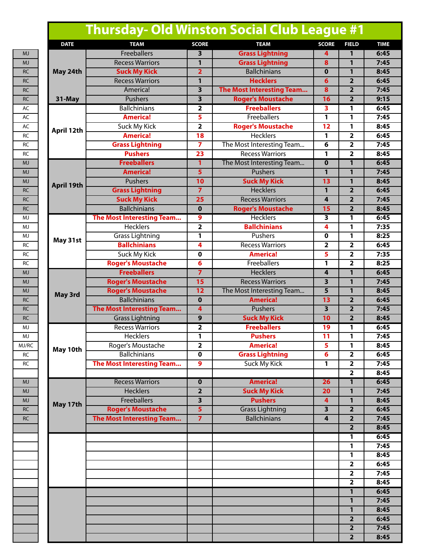# **Thursday- Old Winston Social Club League #1**

| <b>DATE</b>       | <b>TEAM</b>               | <b>SCORE</b>            | <b>TEAM</b>                                 | <b>SCORE</b>            | <b>FIELD</b>            | <b>TIME</b> |
|-------------------|---------------------------|-------------------------|---------------------------------------------|-------------------------|-------------------------|-------------|
|                   | <b>Freeballers</b>        | 3                       | <b>Grass Lightning</b>                      | 4                       | 1                       | 6:45        |
|                   | <b>Recess Warriors</b>    | $\mathbf{1}$            | <b>Grass Lightning</b>                      | 8                       | 1                       | 7:45        |
| May 24th          | <b>Suck My Kick</b>       | $\overline{2}$          | <b>Ballchinians</b>                         | $\mathbf 0$             | $\mathbf{1}$            | 8:45        |
|                   | <b>Recess Warriors</b>    | $\mathbf{1}$            | <b>Hecklers</b>                             | $\overline{6}$          | $\overline{2}$          | 6:45        |
|                   | America!                  | 3                       | The Most Interesting Team                   | 8                       | $\overline{2}$          | 7:45        |
| 31-May            | <b>Pushers</b>            | $\overline{\mathbf{3}}$ | <b>Roger's Moustache</b>                    | 16                      | $\overline{2}$          | 9:15        |
|                   | <b>Ballchinians</b>       | 2                       | <b>Freeballers</b>                          | 3                       | 1                       | 6:45        |
|                   | <b>America!</b>           | 5                       | Freeballers                                 | 1                       | 1                       | 7:45        |
|                   | <b>Suck My Kick</b>       | $\overline{\mathbf{2}}$ | <b>Roger's Moustache</b>                    | $\overline{12}$         | $\mathbf{1}$            | 8:45        |
| April 12th        | <b>America!</b>           | $\overline{18}$         | <b>Hecklers</b>                             | 1                       | $\overline{2}$          | 6:45        |
|                   | <b>Grass Lightning</b>    | $\overline{7}$          | The Most Interesting Team                   | 6                       | $\overline{\mathbf{2}}$ | 7:45        |
|                   | <b>Pushers</b>            | $\overline{23}$         | <b>Recess Warriors</b>                      | 1                       | $\overline{\mathbf{2}}$ | 8:45        |
|                   | <b>Freeballers</b>        |                         |                                             | $\mathbf 0$             | 1                       | 6:45        |
|                   | <b>America!</b>           | 1<br>5                  | The Most Interesting Team<br><b>Pushers</b> |                         | $\mathbf{1}$            | 7:45        |
|                   | <b>Pushers</b>            | 10                      |                                             | 1<br>13                 |                         |             |
| <b>April 19th</b> |                           |                         | <b>Suck My Kick</b>                         |                         | $\mathbf{1}$            | 8:45        |
|                   | <b>Grass Lightning</b>    | $\overline{7}$          | <b>Hecklers</b>                             | $\overline{1}$          | $\overline{2}$          | 6:45        |
|                   | <b>Suck My Kick</b>       | $\overline{25}$         | <b>Recess Warriors</b>                      | 4                       | $\overline{2}$          | 7:45        |
|                   | <b>Ballchinians</b>       | $\mathbf 0$             | <b>Roger's Moustache</b>                    | 15                      | $\overline{2}$          | 8:45        |
|                   | The Most Interesting Team | 9                       | Hecklers                                    | 3                       | 1                       | 6:45        |
|                   | <b>Hecklers</b>           | $\overline{\mathbf{2}}$ | <b>Ballchinians</b>                         | 4                       | 1                       | 7:35        |
| May 31st          | <b>Grass Lightning</b>    | 1                       | Pushers                                     | 0                       | 1                       | 8:25        |
|                   | <b>Ballchinians</b>       | 4                       | <b>Recess Warriors</b>                      | $\overline{\mathbf{2}}$ | $\overline{2}$          | 6:45        |
|                   | Suck My Kick              | 0                       | <b>America!</b>                             | 5                       | $\overline{\mathbf{2}}$ | 7:35        |
|                   | <b>Roger's Moustache</b>  | 6                       | Freeballers                                 | 1                       | $\overline{\mathbf{2}}$ | 8:25        |
| May 3rd           | <b>Freeballers</b>        | $\overline{z}$          | <b>Hecklers</b>                             | 4                       | 1                       | 6:45        |
|                   | <b>Roger's Moustache</b>  | 15                      | <b>Recess Warriors</b>                      | 3                       | $\mathbf{1}$            | 7:45        |
|                   | <b>Roger's Moustache</b>  | 12                      | The Most Interesting Team                   | $\overline{5}$          | $\mathbf{1}$            | 8:45        |
|                   | <b>Ballchinians</b>       | $\mathbf 0$             | <b>America!</b>                             | 13                      | $\overline{2}$          | 6:45        |
|                   | The Most Interesting Team | 4                       | <b>Pushers</b>                              | $\overline{\mathbf{3}}$ | $\overline{2}$          | 7:45        |
|                   | <b>Grass Lightning</b>    | 9                       | <b>Suck My Kick</b>                         | 10                      | $\overline{2}$          | 8:45        |
|                   | <b>Recess Warriors</b>    | $\overline{\mathbf{2}}$ | <b>Freeballers</b>                          | 19                      | 1                       | 6:45        |
|                   | Hecklers                  | 1                       | <b>Pushers</b>                              | 11                      | 1                       | 7:45        |
| May 10th          | Roger's Moustache         | $\overline{2}$          | <b>America!</b>                             | 5                       | 1                       | 8:45        |
|                   | <b>Ballchinians</b>       | 0                       | <b>Grass Lightning</b>                      | 6                       | $\mathbf{2}$            | 6:45        |
|                   | The Most Interesting Team | 9                       | <b>Suck My Kick</b>                         | 1                       | $\overline{2}$          | 7:45        |
|                   |                           |                         |                                             |                         | $\overline{\mathbf{2}}$ | 8:45        |
|                   | <b>Recess Warriors</b>    | $\mathbf 0$             | <b>America!</b>                             | 26                      | 1                       | 6:45        |
|                   | <b>Hecklers</b>           | $\overline{2}$          | <b>Suck My Kick</b>                         | 20                      | $\mathbf{1}$            | 7:45        |
| May 17th          | <b>Freeballers</b>        | $\overline{\mathbf{3}}$ | <b>Pushers</b>                              | $\overline{\mathbf{4}}$ | $\mathbf{1}$            | 8:45        |
|                   | <b>Roger's Moustache</b>  | $\overline{5}$          | <b>Grass Lightning</b>                      | $\overline{\mathbf{3}}$ | $\overline{2}$          | 6:45        |
|                   | The Most Interesting Team | $\overline{7}$          | <b>Ballchinians</b>                         | 4                       | $\overline{2}$          | 7:45        |
|                   |                           |                         |                                             |                         | $\overline{2}$          | 8:45        |
|                   |                           |                         |                                             |                         | 1                       | 6:45        |
|                   |                           |                         |                                             |                         | 1                       | 7:45        |
|                   |                           |                         |                                             |                         | $\mathbf{1}$            | 8:45        |
|                   |                           |                         |                                             |                         | $\overline{2}$          | 6:45        |
|                   |                           |                         |                                             |                         | $\overline{2}$          | 7:45        |
|                   |                           |                         |                                             |                         | $\overline{2}$          | 8:45        |
|                   |                           |                         |                                             |                         | $\mathbf{1}$            | 6:45        |
|                   |                           |                         |                                             |                         | $\mathbf{1}$            | 7:45        |
|                   |                           |                         |                                             |                         | $\mathbf{1}$            | 8:45        |
|                   |                           |                         |                                             |                         | $\overline{2}$          | 6:45        |
|                   |                           |                         |                                             |                         | $\overline{\mathbf{2}}$ | 7:45        |
|                   |                           |                         |                                             |                         | $\overline{2}$          | 8:45        |
|                   |                           |                         |                                             |                         |                         |             |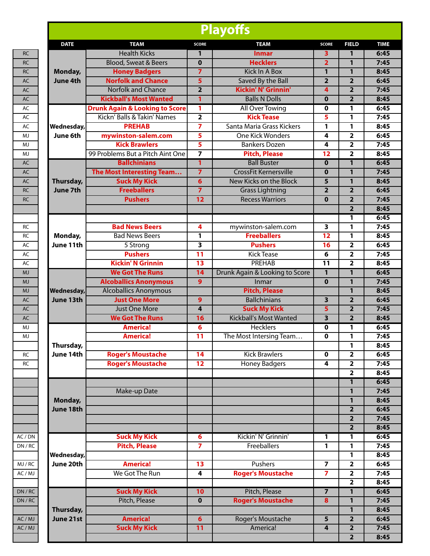| <b>Playoffs</b>   |                                           |                         |                                |                         |                         |             |
|-------------------|-------------------------------------------|-------------------------|--------------------------------|-------------------------|-------------------------|-------------|
| <b>DATE</b>       | <b>TEAM</b>                               | <b>SCORE</b>            | <b>TEAM</b>                    | <b>SCORE</b>            | <b>FIELD</b>            | <b>TIME</b> |
|                   | <b>Health Kicks</b>                       | 1                       | <b>Inmar</b>                   | 3                       | 1                       | 6:45        |
|                   | <b>Blood, Sweat &amp; Beers</b>           | $\mathbf 0$             | <b>Hecklers</b>                | $\overline{\mathbf{2}}$ | 1                       | 7:45        |
| Monday,           | <b>Honey Badgers</b>                      | $\overline{7}$          | <b>Kick In A Box</b>           | $\mathbf{1}$            | $\mathbf{1}$            | 8:45        |
| <b>June 4th</b>   | <b>Norfolk and Chance</b>                 | 5                       | Saved By the Ball              | $\overline{2}$          | $\overline{2}$          | 6:45        |
|                   | <b>Norfolk and Chance</b>                 | $\overline{2}$          | <b>Kickin' N' Grinnin'</b>     | 4                       | $\overline{\mathbf{2}}$ | 7:45        |
|                   | <b>Kickball's Most Wanted</b>             | 1                       | <b>Balls N Dolls</b>           | $\mathbf 0$             | $\overline{2}$          | 8:45        |
|                   | <b>Drunk Again &amp; Looking to Score</b> | 1                       | <b>All Over Towing</b>         | $\mathbf 0$             | 1                       | 6:45        |
|                   | Kickn' Balls & Takin' Names               | $\overline{\mathbf{2}}$ | <b>Kick Tease</b>              | 5                       | 1                       | 7:45        |
| Wednesday,        | <b>PREHAB</b>                             | $\overline{ }$          | Santa Maria Grass Kickers      | 1                       | 1                       | 8:45        |
| June 6th          | mywinston-salem.com                       | 5                       | <b>One Kick Wonders</b>        | 4                       | $\overline{2}$          | 6:45        |
|                   | <b>Kick Brawlers</b>                      | 5                       | <b>Bankers Dozen</b>           | 4                       | $\overline{\mathbf{2}}$ | 7:45        |
|                   | 99 Problems But a Pitch Aint One          | $\overline{\mathbf{z}}$ | <b>Pitch, Please</b>           | 12                      | $\overline{\mathbf{2}}$ | 8:45        |
|                   | <b>Ballchinians</b>                       | $\overline{1}$          | <b>Ball Buster</b>             | $\mathbf 0$             | 1                       | 6:45        |
|                   | The Most Interesting Team                 | $\overline{7}$          | <b>CrossFit Kernersville</b>   | $\mathbf{0}$            | 1                       | 7:45        |
| Thursday,         | <b>Suck My Kick</b>                       | $\overline{\mathbf{6}}$ | New Kicks on the Block         | 5                       | 1                       | 8:45        |
| <b>June 7th</b>   | <b>Freeballers</b>                        | $\overline{7}$          | <b>Grass Lightning</b>         | $\overline{2}$          | $\overline{\mathbf{2}}$ | 6:45        |
|                   | <b>Pushers</b>                            | $\overline{12}$         | <b>Recess Warriors</b>         | $\mathbf{0}$            | $\overline{2}$          | 7:45        |
|                   |                                           |                         |                                |                         | $\overline{2}$          | 8:45        |
|                   |                                           |                         |                                |                         | 1                       | 6:45        |
|                   | <b>Bad News Beers</b>                     | 4                       | mywinston-salem.com            | 3                       | 1                       | 7:45        |
| Monday,           | <b>Bad News Beers</b>                     | 1                       | <b>Freeballers</b>             | $\overline{12}$         | 1                       | 8:45        |
| June 11th         | 5 Strong                                  | $\overline{\mathbf{3}}$ | <b>Pushers</b>                 | 16                      | $\overline{2}$          | 6:45        |
|                   | <b>Pushers</b>                            | $\overline{11}$         | <b>Kick Tease</b>              | 6                       | 2                       | 7:45        |
|                   | <b>Kickin' N Grinnin</b>                  | $\overline{13}$         | <b>PREHAB</b>                  | $\overline{11}$         | $\overline{\mathbf{2}}$ | 8:45        |
|                   | <b>We Got The Runs</b>                    | 14                      | Drunk Again & Looking to Score | 1                       | 1                       | 6:45        |
|                   | <b>Alcoballics Anonymous</b>              | $\overline{9}$          | Inmar                          | $\mathbf{0}$            | $\mathbf{1}$            | 7:45        |
| <b>Wednesday,</b> | <b>Alcoballics Anonymous</b>              |                         | <b>Pitch, Please</b>           |                         | 1                       | 8:45        |
| June 13th         | <b>Just One More</b>                      | 9                       | <b>Ballchinians</b>            | 3                       | $\overline{2}$          | 6:45        |
|                   | <b>Just One More</b>                      | 4                       | <b>Suck My Kick</b>            | 5                       | $\overline{2}$          | 7:45        |
|                   | <b>We Got The Runs</b>                    | 16                      | <b>Kickball's Most Wanted</b>  | $\overline{\mathbf{3}}$ | $\overline{2}$          | 8:45        |
|                   | <b>America!</b>                           | 6                       | <b>Hecklers</b>                | $\mathbf 0$             | 1                       | 6:45        |
|                   | America!                                  | 11                      | The Most Intersing Team        | U                       | 1                       | 7:45        |
| Thursday,         |                                           |                         |                                |                         | 1                       | 8:45        |
| June 14th         | <b>Roger's Moustache</b>                  | 14                      | <b>Kick Brawlers</b>           | $\mathbf 0$             | $\mathbf{2}$            | 6:45        |
|                   | <b>Roger's Moustache</b>                  | 12                      | <b>Honey Badgers</b>           | 4                       | $\overline{\mathbf{2}}$ | 7:45        |
|                   |                                           |                         |                                |                         | $\overline{\mathbf{2}}$ | 8:45        |
|                   |                                           |                         |                                |                         | 1                       | 6:45        |
|                   | Make-up Date                              |                         |                                |                         | 1                       | 7:45        |
| Monday,           |                                           |                         |                                |                         | $\mathbf{1}$            | 8:45        |
| June 18th         |                                           |                         |                                |                         | $\overline{2}$          | 6:45        |
|                   |                                           |                         |                                |                         | $\overline{2}$          | 7:45        |
|                   |                                           |                         |                                |                         | $\overline{2}$          | 8:45        |
|                   | <b>Suck My Kick</b>                       |                         | Kickin' N' Grinnin'            |                         |                         | 6:45        |
|                   | <b>Pitch, Please</b>                      | 6<br>$\overline{7}$     | Freeballers                    | 1                       | 1                       |             |
|                   |                                           |                         |                                | 1                       | 1                       | 7:45        |
| Wednesday,        |                                           |                         |                                |                         | $\mathbf{1}$            | 8:45        |
| June 20th         | <b>America!</b>                           | 13                      | Pushers                        | 7                       | $\overline{\mathbf{2}}$ | 6:45        |
|                   | We Got The Run                            | 4                       | <b>Roger's Moustache</b>       | $\overline{7}$          | $\overline{\mathbf{2}}$ | 7:45        |
|                   |                                           |                         |                                |                         | $\overline{\mathbf{2}}$ | 8:45        |
|                   | <b>Suck My Kick</b>                       | 10                      | Pitch, Please                  |                         | 1                       | 6:45        |
|                   | Pitch, Please                             | $\mathbf 0$             | <b>Roger's Moustache</b>       | $\bf{8}$                | 1                       | 7:45        |
| Thursday,         |                                           |                         |                                |                         | $\mathbf{1}$            | 8:45        |
| June 21st         | <b>America!</b>                           | 6                       | Roger's Moustache              | 5                       | $\overline{2}$          | 6:45        |
|                   | <b>Suck My Kick</b>                       | $\overline{11}$         | America!                       | 4                       | $\overline{\mathbf{2}}$ | 7:45        |
|                   |                                           |                         |                                |                         | $\overline{2}$          | 8:45        |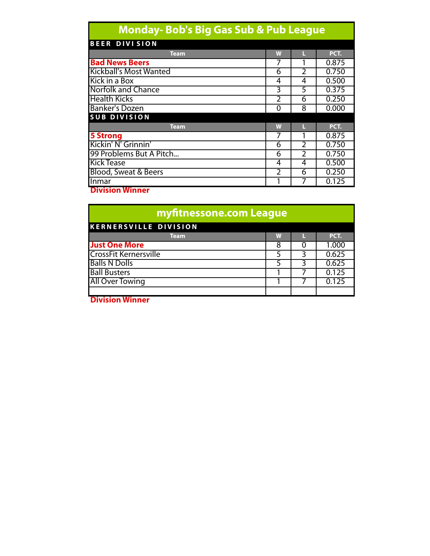# **Monday- Bob's Big Gas Sub & Pub League**

| <b>BEER DIVISION</b>            |                |   |       |
|---------------------------------|----------------|---|-------|
| <b>Team</b>                     | W              |   | PCT.  |
| <b>Bad News Beers</b>           | 7              |   | 0.875 |
| <b>Kickball's Most Wanted</b>   | 6              | 2 | 0.750 |
| Kick in a Box                   | 4              | 4 | 0.500 |
| <b>Norfolk and Chance</b>       | 3              | 5 | 0.375 |
| <b>Health Kicks</b>             | 2              | 6 | 0.250 |
| <b>Banker's Dozen</b>           | 0              | 8 | 0.000 |
| <b>SUB DIVISION</b>             |                |   |       |
| <b>Team</b>                     | W              |   | PCT.  |
| <b>5 Strong</b>                 | 7              |   | 0.875 |
| Kickin' N' Grinnin'             | 6              | າ | 0.750 |
| 99 Problems But A Pitch         | 6              | C | 0.750 |
| <b>Kick Tease</b>               | 4              | 4 | 0.500 |
| <b>Blood, Sweat &amp; Beers</b> | $\overline{2}$ | 6 | 0.250 |
| llnmar                          |                |   | 0.125 |

**Division Winner**

| myfitnessone.com League      |   |  |       |  |  |  |  |
|------------------------------|---|--|-------|--|--|--|--|
| <b>KERNERSVILLE DIVISION</b> |   |  |       |  |  |  |  |
| Team.                        | W |  | PCT.  |  |  |  |  |
| <b>Just One More</b>         | 8 |  | 1.000 |  |  |  |  |
| <b>CrossFit Kernersville</b> |   |  | 0.625 |  |  |  |  |
| <b>Balls N Dolls</b>         |   |  | 0.625 |  |  |  |  |
| <b>Ball Busters</b>          |   |  | 0.125 |  |  |  |  |
| <b>All Over Towing</b>       |   |  | 0.125 |  |  |  |  |
| .                            |   |  |       |  |  |  |  |

**Division Winner**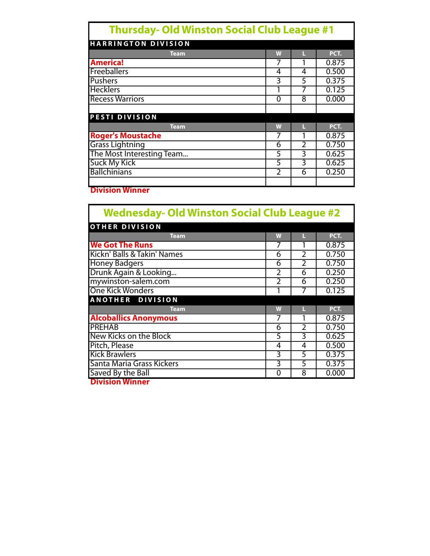| <b>Thursday- Old Winston Social Club League #1</b> |   |   |       |  |  |  |  |
|----------------------------------------------------|---|---|-------|--|--|--|--|
| <b>HARRINGTON DIVISION</b>                         |   |   |       |  |  |  |  |
| <b>Team</b>                                        | W |   | PCT.  |  |  |  |  |
| <b>America!</b>                                    |   |   | 0.875 |  |  |  |  |
| <b>Freeballers</b>                                 | 4 | 4 | 0.500 |  |  |  |  |
| <b>Pushers</b>                                     | 3 | 5 | 0.375 |  |  |  |  |
| <b>Hecklers</b>                                    |   | 7 | 0.125 |  |  |  |  |
| <b>Recess Warriors</b>                             | 0 | 8 | 0.000 |  |  |  |  |
|                                                    |   |   |       |  |  |  |  |
| <b>PESTI DIVISION</b>                              |   |   |       |  |  |  |  |
| <b>Team</b>                                        | W |   | PCT.  |  |  |  |  |
| <b>Roger's Moustache</b>                           |   |   | 0.875 |  |  |  |  |
| <b>Grass Lightning</b>                             | 6 | フ | 0.750 |  |  |  |  |
| The Most Interesting Team                          | 5 | 3 | 0.625 |  |  |  |  |
| <b>Suck My Kick</b>                                | 5 | 3 | 0.625 |  |  |  |  |
| <b>Ballchinians</b>                                | 2 | 6 | 0.250 |  |  |  |  |

**Division Winner**

| <b>Wednesday- Old Winston Social Club League #2</b> |                |                |       |  |  |  |
|-----------------------------------------------------|----------------|----------------|-------|--|--|--|
| <b>OTHER DIVISION</b>                               |                |                |       |  |  |  |
| <b>Team</b>                                         | W              | П              | PCT.  |  |  |  |
| <b>We Got The Runs</b>                              |                |                | 0.875 |  |  |  |
| Kickn' Balls & Takin' Names                         | 6              | $\overline{2}$ | 0.750 |  |  |  |
| <b>Honey Badgers</b>                                | 6              | $\mathfrak{D}$ | 0.750 |  |  |  |
| Drunk Again & Looking                               | $\overline{2}$ | 6              | 0.250 |  |  |  |
| mywinston-salem.com                                 | 2              | 6              | 0.250 |  |  |  |
| <b>One Kick Wonders</b>                             |                |                | 0.125 |  |  |  |
| <b>ANOTHER DIVISION</b>                             |                |                |       |  |  |  |
| <b>Team</b>                                         | W              |                | PCT.  |  |  |  |
| <b>Alcoballics Anonymous</b>                        | 7              | 1              | 0.875 |  |  |  |
| <b>PREHAB</b>                                       | 6              | $\mathfrak{D}$ | 0.750 |  |  |  |
| New Kicks on the Block                              | 5              | 3              | 0.625 |  |  |  |
| Pitch, Please                                       | 4              | 4              | 0.500 |  |  |  |
| <b>Kick Brawlers</b>                                | 3              | 5              | 0.375 |  |  |  |
| Santa Maria Grass Kickers                           | 3              | 5              | 0.375 |  |  |  |
| Saved By the Ball                                   | 0              | 8              | 0.000 |  |  |  |

**Division Winner**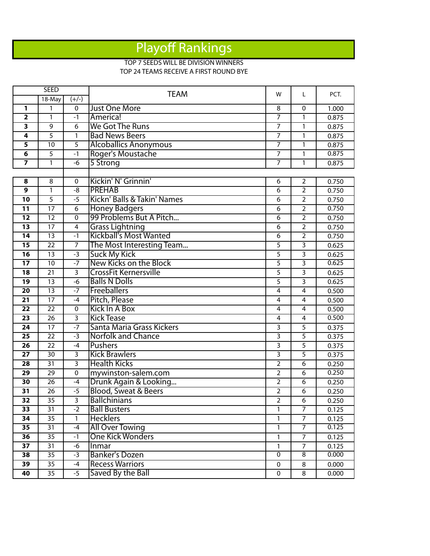## Playo ff Rankings

#### TOP 7 SEEDS WILL BE DIVISION WINNERS TOP 24 TEAMS RECEIVE A FIRST ROUND BYE

|                         | <b>SEED</b>     |                         | <b>TEAM</b>                     | W                       | L              | PCT.  |
|-------------------------|-----------------|-------------------------|---------------------------------|-------------------------|----------------|-------|
|                         | 18-May          | $(+/-)$                 |                                 |                         |                |       |
| 1                       | 1               | $\Omega$                | <b>Just One More</b>            | 8                       | $\overline{0}$ | 1.000 |
| $\overline{\mathbf{2}}$ | 1               | $-1$                    | America!                        | 7                       | 1              | 0.875 |
| 3                       | 9               | 6                       | We Got The Runs                 | 7                       | 1              | 0.875 |
| 4                       | $\overline{5}$  | $\mathbf{1}$            | <b>Bad News Beers</b>           | $\overline{7}$          | $\mathbf{1}$   | 0.875 |
| 5                       | 10              | $\overline{5}$          | <b>Alcoballics Anonymous</b>    | 7                       | $\mathbf{1}$   | 0.875 |
| 6                       | $\overline{5}$  | $-1$                    | Roger's Moustache               | 7                       | 1              | 0.875 |
| $\overline{\mathbf{z}}$ | $\mathbf{1}$    | $-6$                    | 5 Strong                        | $\overline{7}$          | 1              | 0.875 |
|                         |                 |                         |                                 |                         |                |       |
| 8                       | 8               | 0                       | Kickin' N' Grinnin'             | 6                       | $\overline{2}$ | 0.750 |
| $\overline{9}$          | $\mathbf{1}$    | $-8$                    | <b>PREHAB</b>                   | $\overline{6}$          | $\overline{2}$ | 0.750 |
| 10                      | $\overline{5}$  | $-5$                    | Kickn' Balls & Takin' Names     | 6                       | $\overline{2}$ | 0.750 |
| 11                      | $\overline{17}$ | $\overline{6}$          | Honey Badgers                   | 6                       | $\overline{2}$ | 0.750 |
| $\overline{12}$         | $\overline{12}$ | $\overline{0}$          | 99 Problems But A Pitch         | $\overline{6}$          | $\overline{2}$ | 0.750 |
| 13                      | 17              | 4                       | <b>Grass Lightning</b>          | 6                       | $\overline{2}$ | 0.750 |
| 14                      | $\overline{13}$ | $-1$                    | <b>Kickball's Most Wanted</b>   | 6                       | $\overline{2}$ | 0.750 |
| 15                      | $\overline{22}$ | $\overline{7}$          | The Most Interesting Team       | 5                       | $\overline{3}$ | 0.625 |
| 16                      | $\overline{13}$ | -3                      | <b>Suck My Kick</b>             | 5                       | 3              | 0.625 |
| $\overline{17}$         | $\overline{10}$ | $-7$                    | New Kicks on the Block          | 5                       | 3              | 0.625 |
| $\overline{18}$         | $\overline{21}$ | $\overline{3}$          | <b>CrossFit Kernersville</b>    | $\overline{5}$          | 3              | 0.625 |
| 19                      | 13              | $-6$                    | <b>Balls N Dolls</b>            | $\overline{5}$          | 3              | 0.625 |
| $\overline{20}$         | $\overline{13}$ | $-7$                    | Freeballers                     | $\overline{\mathbf{4}}$ | $\overline{4}$ | 0.500 |
| $\overline{21}$         | $\overline{17}$ | $-4$                    | Pitch, Please                   | $\overline{4}$          | $\overline{4}$ | 0.500 |
| 22                      | $\overline{22}$ | $\mathbf 0$             | Kick In A Box                   | $\overline{4}$          | $\overline{4}$ | 0.500 |
| $\overline{23}$         | $\overline{26}$ | $\overline{3}$          | <b>Kick Tease</b>               | $\overline{4}$          | 4              | 0.500 |
| 24                      | 17              | $-7$                    | Santa Maria Grass Kickers       | 3                       | 5              | 0.375 |
| 25                      | 22              | $-3$                    | <b>Norfolk and Chance</b>       | $\overline{\mathbf{3}}$ | 5              | 0.375 |
| 26                      | 22              | $-4$                    | <b>Pushers</b>                  | $\overline{\mathbf{3}}$ | 5              | 0.375 |
| $\overline{27}$         | 30              | $\overline{3}$          | <b>Kick Brawlers</b>            | $\overline{3}$          | 5              | 0.375 |
| 28                      | 31              | $\overline{3}$          | <b>Health Kicks</b>             | $\overline{2}$          | 6              | 0.250 |
| 29                      | 29              | 0                       | mywinston-salem.com             | $\overline{2}$          | 6              | 0.250 |
| 30                      | 26              | $-4$                    | Drunk Again & Looking           | $\overline{2}$          | 6              | 0.250 |
| 31                      | 26              | $-5$                    | <b>Blood, Sweat &amp; Beers</b> | $\overline{2}$          | 6              | 0.250 |
| $\overline{32}$         | $\overline{35}$ | $\overline{\mathbf{3}}$ | <b>Ballchinians</b>             | 2                       | 6              | 0.250 |
| 33                      | 31              | $-2$                    | <b>Ball Busters</b>             | 1                       | $\overline{7}$ | 0.125 |
| 34                      | 35              | $\mathbf{1}$            | <b>Hecklers</b>                 | 1                       | $\overline{7}$ | 0.125 |
| 35                      | 31              | $-4$                    | <b>All Over Towing</b>          | 1                       | $\overline{7}$ | 0.125 |
| 36                      | 35              | $-1$                    | <b>One Kick Wonders</b>         | 1                       | $\overline{7}$ | 0.125 |
| 37                      | 31              | -6                      | Inmar                           | 1                       | 7              | 0.125 |
| 38                      | 35              | $-3$                    | <b>Banker's Dozen</b>           | $\mathbf 0$             | 8              | 0.000 |
| 39                      | 35              | $-4$                    | <b>Recess Warriors</b>          | $\pmb{0}$               | 8              | 0.000 |
| 40                      | 35              | $-5$                    | Saved By the Ball               | $\pmb{0}$               | 8              | 0.000 |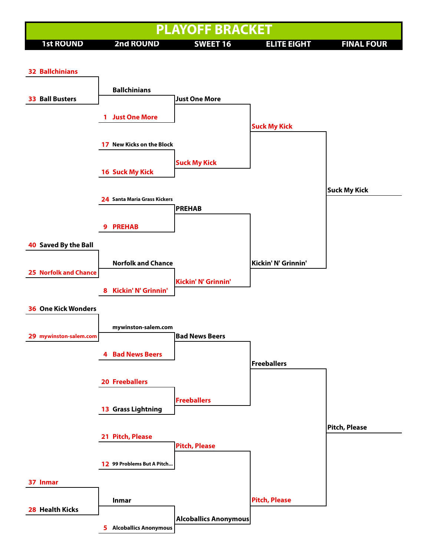

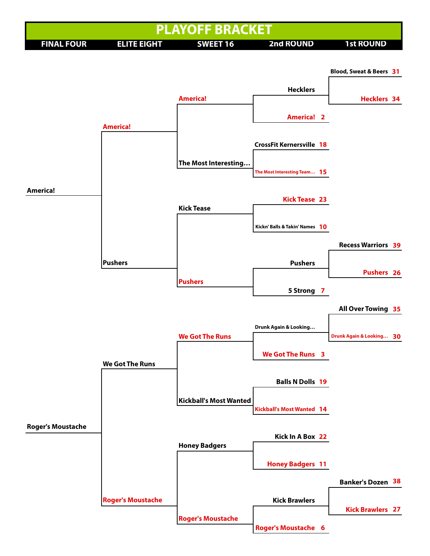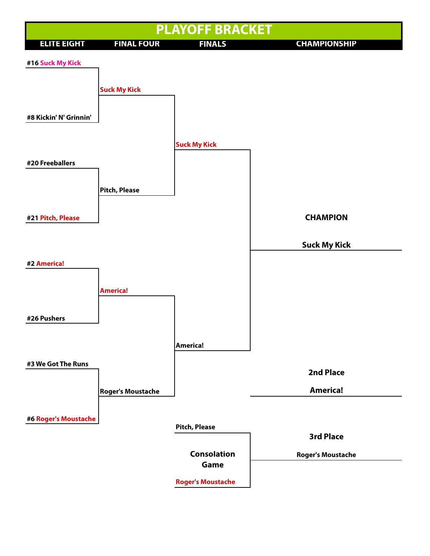